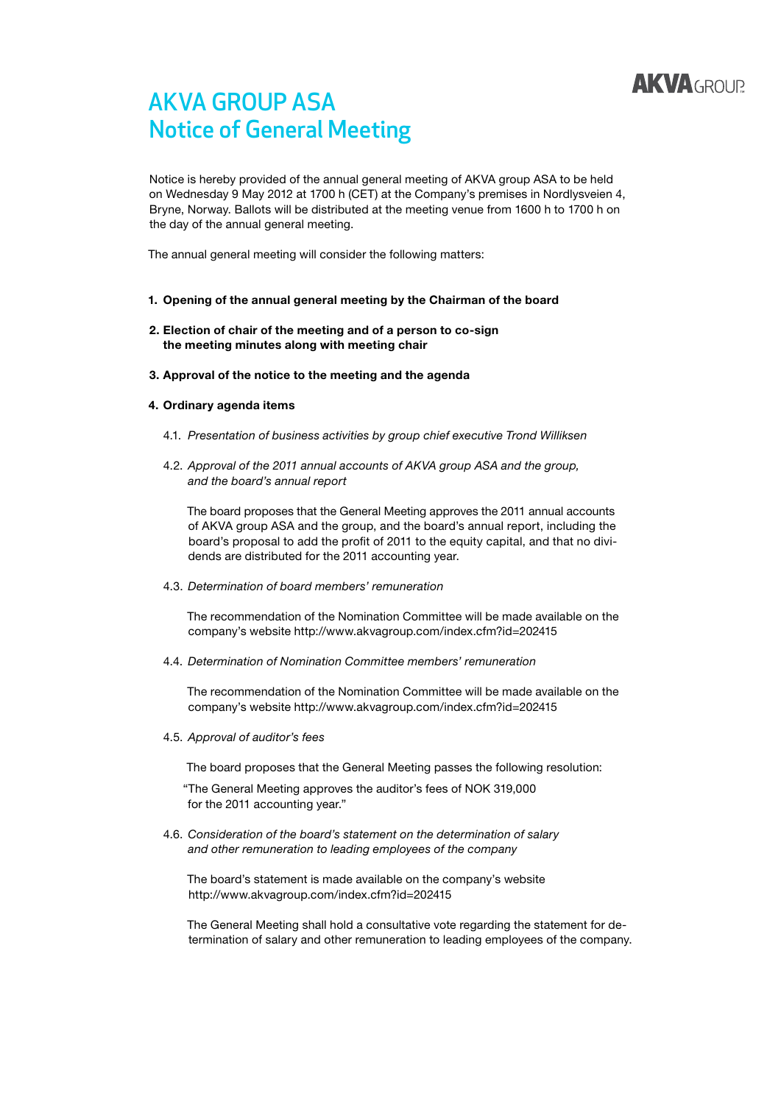

## AKVA GROUP ASA Notice of General Meeting

Notice is hereby provided of the annual general meeting of AKVA group ASA to be held on Wednesday 9 May 2012 at 1700 h (CET) at the Company's premises in Nordlysveien 4, Bryne, Norway. Ballots will be distributed at the meeting venue from 1600 h to 1700 h on the day of the annual general meeting.

The annual general meeting will consider the following matters:

- 1. Opening of the annual general meeting by the Chairman of the board
- 2. Election of chair of the meeting and of a person to co-sign the meeting minutes along with meeting chair
- 3. Approval of the notice to the meeting and the agenda

#### 4. Ordinary agenda items

- 4.1. *Presentation of business activities by group chief executive Trond Williksen*
- 4.2. *Approval of the 2011 annual accounts of AKVA group ASA and the group, and the board's annual report*

The board proposes that the General Meeting approves the 2011 annual accounts of AKVA group ASA and the group, and the board's annual report, including the board's proposal to add the profit of 2011 to the equity capital, and that no dividends are distributed for the 2011 accounting year.

4.3. *Determination of board members' remuneration*

The recommendation of the Nomination Committee will be made available on the company's website http://www.akvagroup.com/index.cfm?id=202415

4.4. *Determination of Nomination Committee members' remuneration*

The recommendation of the Nomination Committee will be made available on the company's website http://www.akvagroup.com/index.cfm?id=202415

4.5. *Approval of auditor's fees*

The board proposes that the General Meeting passes the following resolution:

"The General Meeting approves the auditor's fees of NOK 319,000 for the 2011 accounting year."

4.6. *Consideration of the board's statement on the determination of salary and other remuneration to leading employees of the company*

The board's statement is made available on the company's website http://www.akvagroup.com/index.cfm?id=202415

The General Meeting shall hold a consultative vote regarding the statement for determination of salary and other remuneration to leading employees of the company.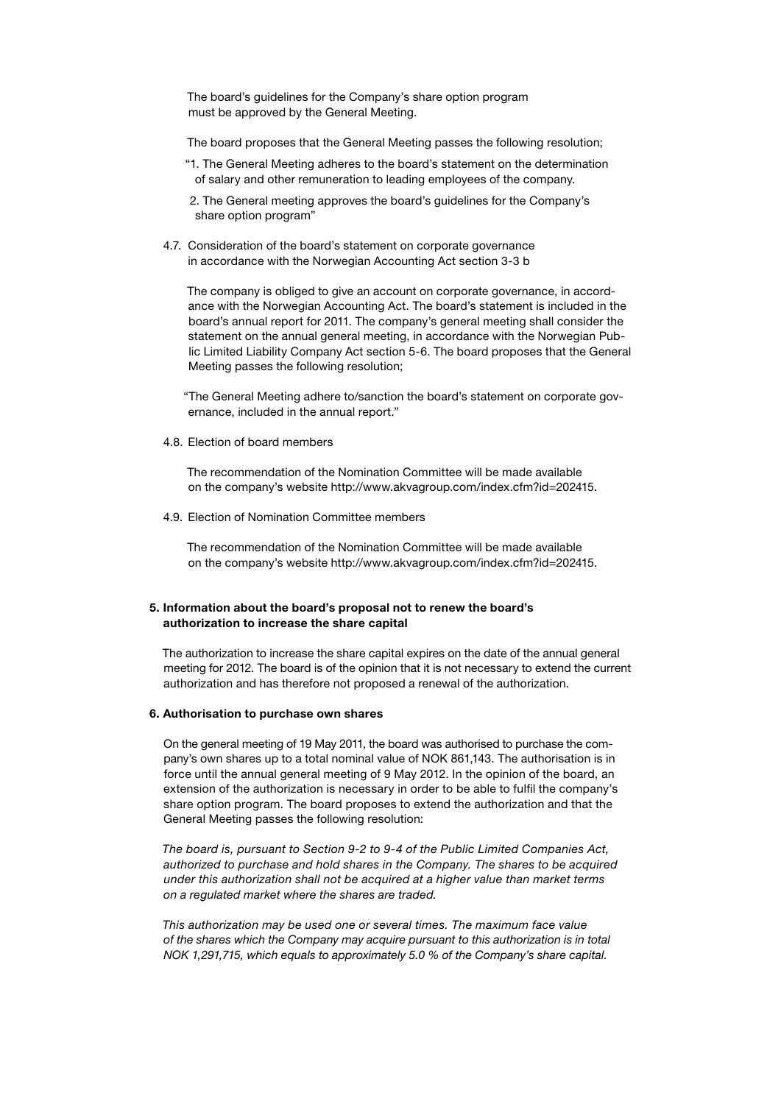The board's guidelines for the Company's share option program must be approved by the General Meeting.

The board proposes that the General Meeting passes the following resolution;

"1. The General Meeting adheres to the board's statement on the determination of salary and other remuneration to leading employees of the company.

2. The General meeting approves the board's guidelines for the Company's share option program"

4.7. Consideration of the board's statement on corporate governance in accordance with the Norwegian Accounting Act section 3-3 b

The company is obliged to give an account on corporate governance, in accordance with the Norwegian Accounting Act. The board's statement is included in the board's annual report for 2011. The company's general meeting shall consider the statement on the annual general meeting, in accordance with the Norwegian Public Limited Liability Company Act section 5-6. The board proposes that the General Meeting passes the following resolution;

"The General Meeting adhere to/sanction the board's statement on corporate governance, included in the annual report."

4.8. Election of board members

The recommendation of the Nomination Committee will be made available on the company's website http://www.akvagroup.com/index.cfm?id=202415.

4.9. Election of Nomination Committee members

The recommendation of the Nomination Committee will be made available on the company's website http://www.akvagroup.com/index.cfm?id=202415.

#### 5. Information about the board's proposal not to renew the board's authorization to increase the share capital

The authorization to increase the share capital expires on the date of the annual general meeting for 2012. The board is of the opinion that it is not necessary to extend the current authorization and has therefore not proposed a renewal of the authorization.

#### 6. Authorisation to purchase own shares

On the general meeting of 19 May 2011, the board was authorised to purchase the company's own shares up to a total nominal value of NOK 861,143. The authorisation is in force until the annual general meeting of 9 May 2012. In the opinion of the board, an extension of the authorization is necessary in order to be able to fulfil the company's share option program. The board proposes to extend the authorization and that the General Meeting passes the following resolution:

*The board is, pursuant to Section 9-2 to 9-4 of the Public Limited Companies Act, authorized to purchase and hold shares in the Company. The shares to be acquired under this authorization shall not be acquired at a higher value than market terms on a regulated market where the shares are traded.*

*This authorization may be used one or several times. The maximum face value of the shares which the Company may acquire pursuant to this authorization is in total NOK 1,291,715, which equals to approximately 5.0 % of the Company's share capital.*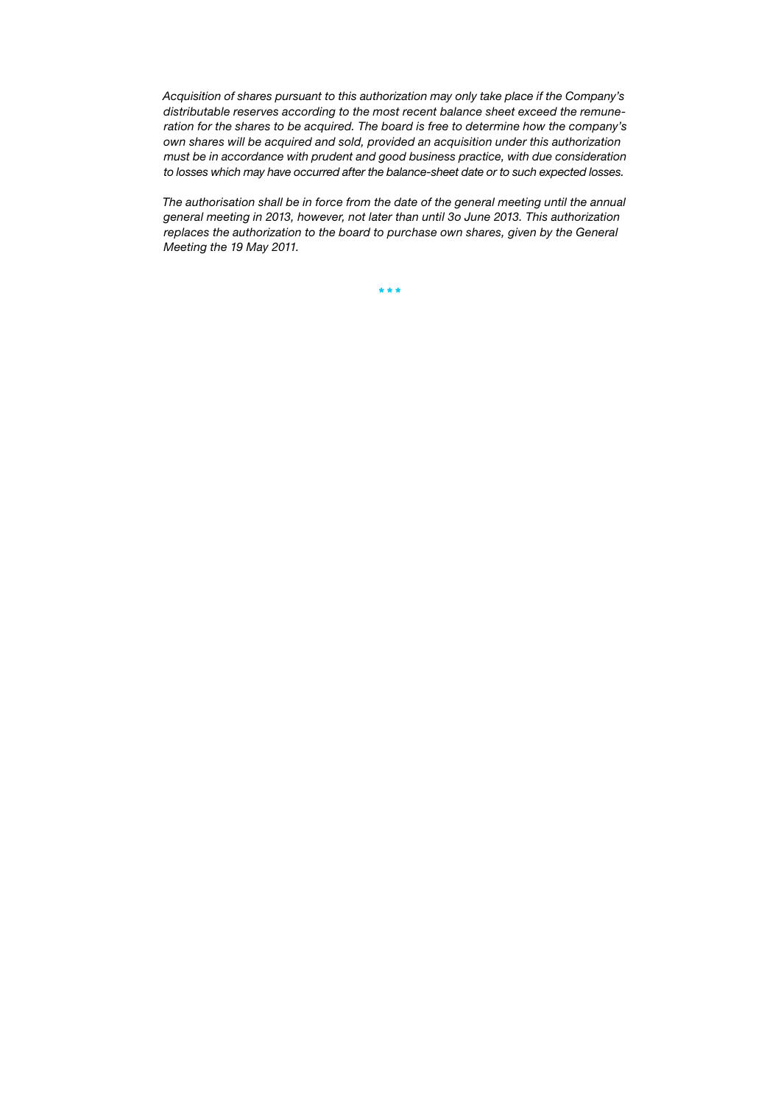*Acquisition of shares pursuant to this authorization may only take place if the Company's distributable reserves according to the most recent balance sheet exceed the remuneration for the shares to be acquired. The board is free to determine how the company's own shares will be acquired and sold, provided an acquisition under this authorization must be in accordance with prudent and good business practice, with due consideration to losses which may have occurred after the balance-sheet date or to such expected losses.*

*The authorisation shall be in force from the date of the general meeting until the annual general meeting in 2013, however, not later than until 3o June 2013. This authorization replaces the authorization to the board to purchase own shares, given by the General Meeting the 19 May 2011.*

\* \* \*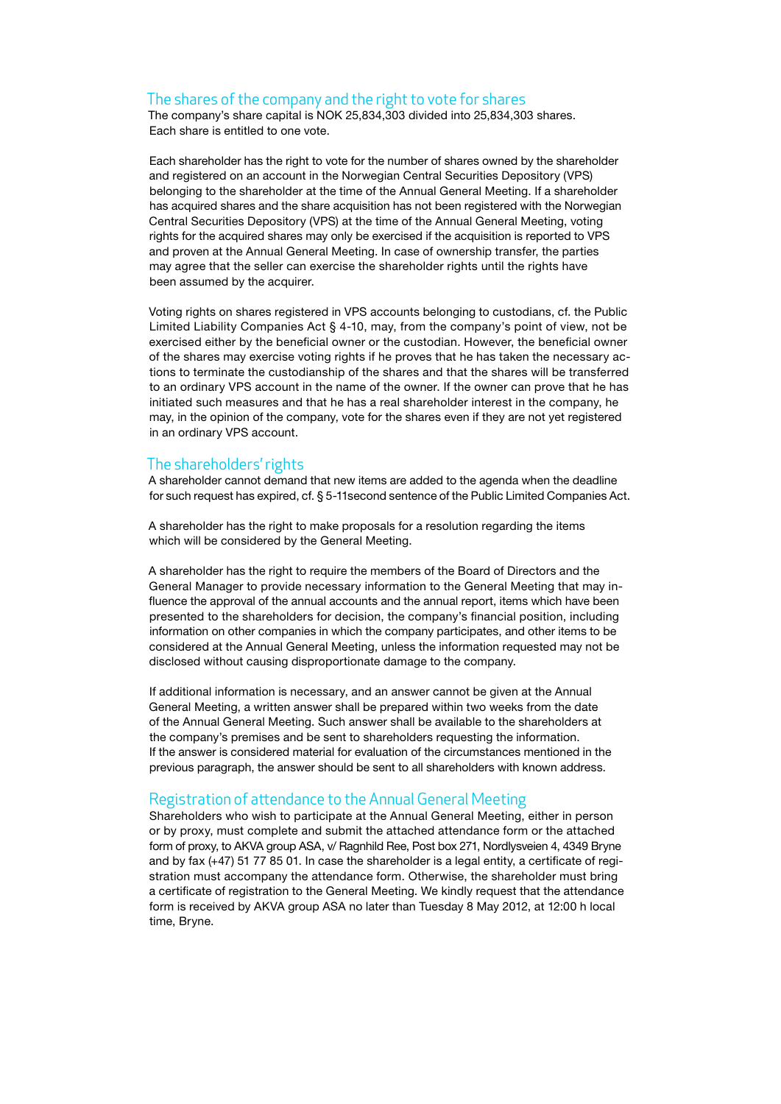#### The shares of the company and the right to vote for shares

The company's share capital is NOK 25,834,303 divided into 25,834,303 shares. Each share is entitled to one vote.

Each shareholder has the right to vote for the number of shares owned by the shareholder and registered on an account in the Norwegian Central Securities Depository (VPS) belonging to the shareholder at the time of the Annual General Meeting. If a shareholder has acquired shares and the share acquisition has not been registered with the Norwegian Central Securities Depository (VPS) at the time of the Annual General Meeting, voting rights for the acquired shares may only be exercised if the acquisition is reported to VPS and proven at the Annual General Meeting. In case of ownership transfer, the parties may agree that the seller can exercise the shareholder rights until the rights have been assumed by the acquirer.

Voting rights on shares registered in VPS accounts belonging to custodians, cf. the Public Limited Liability Companies Act § 4-10, may, from the company's point of view, not be exercised either by the beneficial owner or the custodian. However, the beneficial owner of the shares may exercise voting rights if he proves that he has taken the necessary actions to terminate the custodianship of the shares and that the shares will be transferred to an ordinary VPS account in the name of the owner. If the owner can prove that he has initiated such measures and that he has a real shareholder interest in the company, he may, in the opinion of the company, vote for the shares even if they are not yet registered in an ordinary VPS account.

#### The shareholders' rights

A shareholder cannot demand that new items are added to the agenda when the deadline for such request has expired, cf. § 5-11second sentence of the Public Limited Companies Act.

A shareholder has the right to make proposals for a resolution regarding the items which will be considered by the General Meeting.

A shareholder has the right to require the members of the Board of Directors and the General Manager to provide necessary information to the General Meeting that may influence the approval of the annual accounts and the annual report, items which have been presented to the shareholders for decision, the company's financial position, including information on other companies in which the company participates, and other items to be considered at the Annual General Meeting, unless the information requested may not be disclosed without causing disproportionate damage to the company.

If additional information is necessary, and an answer cannot be given at the Annual General Meeting, a written answer shall be prepared within two weeks from the date of the Annual General Meeting. Such answer shall be available to the shareholders at the company's premises and be sent to shareholders requesting the information. If the answer is considered material for evaluation of the circumstances mentioned in the previous paragraph, the answer should be sent to all shareholders with known address.

#### Registration of attendance to the Annual General Meeting

Shareholders who wish to participate at the Annual General Meeting, either in person or by proxy, must complete and submit the attached attendance form or the attached form of proxy, to AKVA group ASA, v/ Ragnhild Ree, Post box 271, Nordlysveien 4, 4349 Bryne and by fax (+47) 51 77 85 01. In case the shareholder is a legal entity, a certificate of registration must accompany the attendance form. Otherwise, the shareholder must bring a certificate of registration to the General Meeting. We kindly request that the attendance form is received by AKVA group ASA no later than Tuesday 8 May 2012, at 12:00 h local time, Bryne.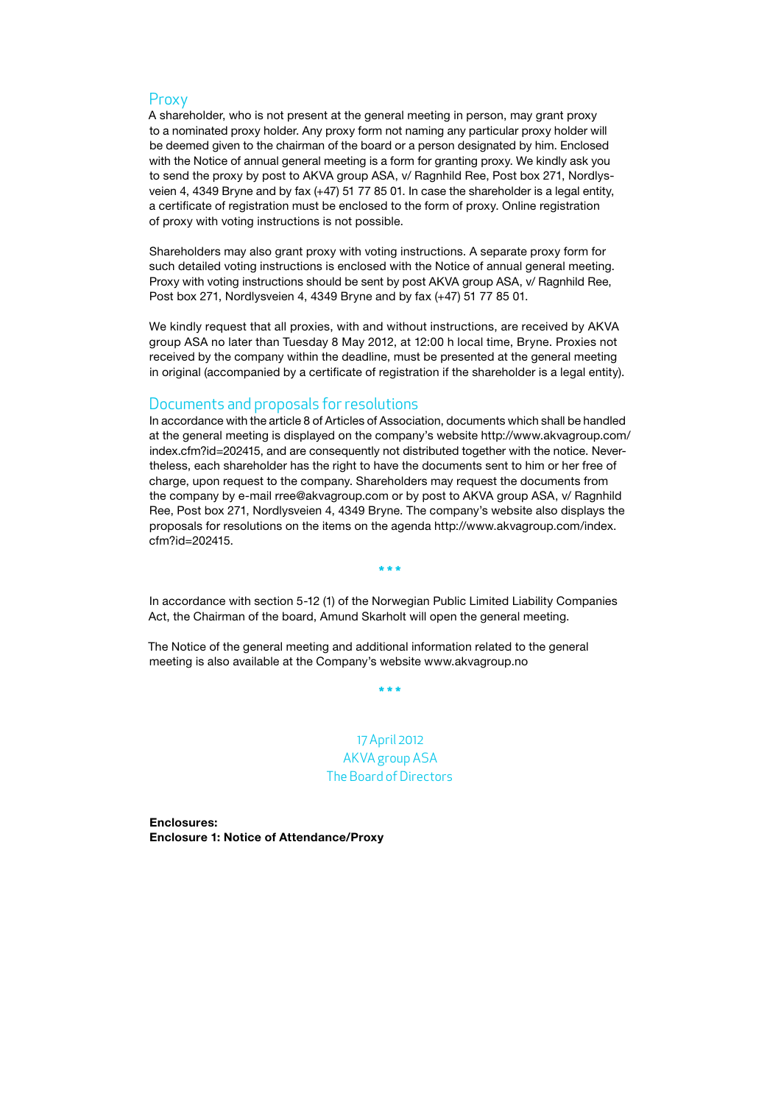#### Proxy

A shareholder, who is not present at the general meeting in person, may grant proxy to a nominated proxy holder. Any proxy form not naming any particular proxy holder will be deemed given to the chairman of the board or a person designated by him. Enclosed with the Notice of annual general meeting is a form for granting proxy. We kindly ask you to send the proxy by post to AKVA group ASA, v/ Ragnhild Ree, Post box 271, Nordlysveien 4, 4349 Bryne and by fax (+47) 51 77 85 01. In case the shareholder is a legal entity, a certificate of registration must be enclosed to the form of proxy. Online registration of proxy with voting instructions is not possible.

Shareholders may also grant proxy with voting instructions. A separate proxy form for such detailed voting instructions is enclosed with the Notice of annual general meeting. Proxy with voting instructions should be sent by post AKVA group ASA, v/ Ragnhild Ree, Post box 271, Nordlysveien 4, 4349 Bryne and by fax (+47) 51 77 85 01.

We kindly request that all proxies, with and without instructions, are received by AKVA group ASA no later than Tuesday 8 May 2012, at 12:00 h local time, Bryne. Proxies not received by the company within the deadline, must be presented at the general meeting in original (accompanied by a certificate of registration if the shareholder is a legal entity).

#### Documents and proposals for resolutions

In accordance with the article 8 of Articles of Association, documents which shall be handled at the general meeting is displayed on the company's website http://www.akvagroup.com/ index.cfm?id=202415, and are consequently not distributed together with the notice. Nevertheless, each shareholder has the right to have the documents sent to him or her free of charge, upon request to the company. Shareholders may request the documents from the company by e-mail rree@akvagroup.com or by post to AKVA group ASA, v/ Ragnhild Ree, Post box 271, Nordlysveien 4, 4349 Bryne. The company's website also displays the proposals for resolutions on the items on the agenda http://www.akvagroup.com/index. cfm?id=202415.

In accordance with section 5-12 (1) of the Norwegian Public Limited Liability Companies Act, the Chairman of the board, Amund Skarholt will open the general meeting.

\* \* \*

The Notice of the general meeting and additional information related to the general meeting is also available at the Company's website www.akvagroup.no

\* \* \*

17 April 2012 AKVA group ASA The Board of Directors

Enclosures: Enclosure 1: Notice of Attendance/Proxy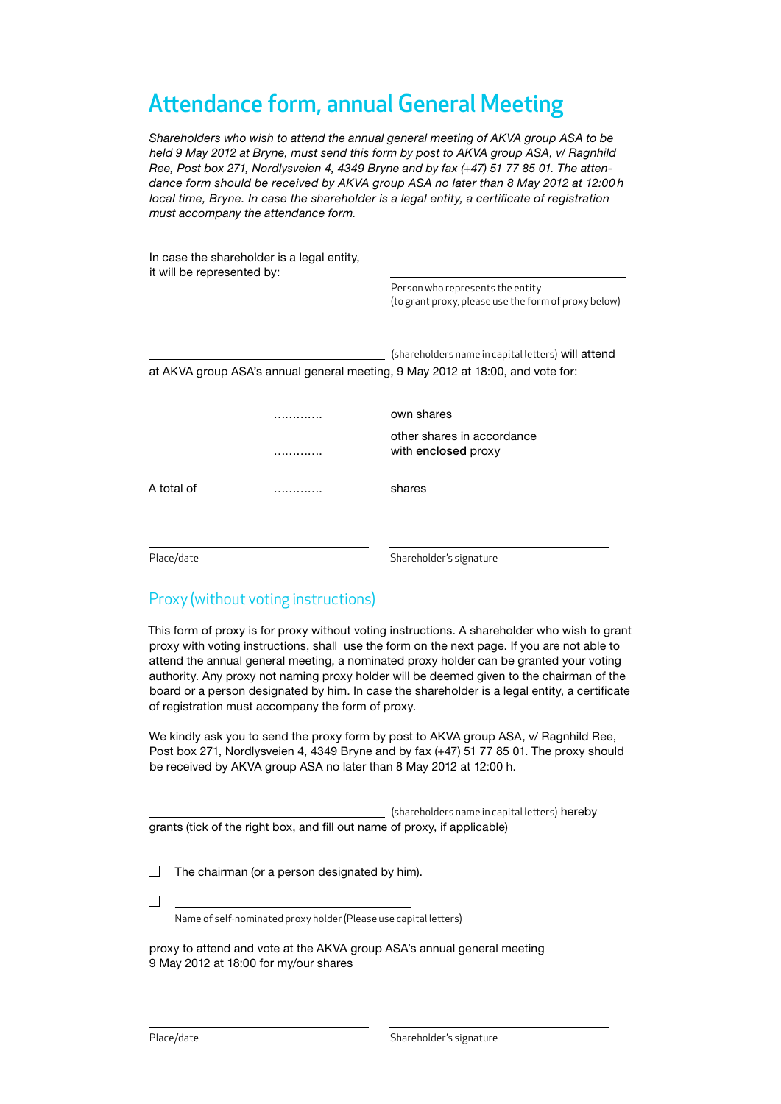# Attendance form, annual General Meeting

*Shareholders who wish to attend the annual general meeting of AKVA group ASA to be held 9 May 2012 at Bryne, must send this form by post to AKVA group ASA, v/ Ragnhild Ree, Post box 271, Nordlysveien 4, 4349 Bryne and by fax (+47) 51 77 85 01. The attendance form should be received by AKVA group ASA no later than 8 May 2012 at 12:00 h local time, Bryne. In case the shareholder is a legal entity, a certificate of registration must accompany the attendance form.* 

| it will be represented by:                                                     | In case the shareholder is a legal entity, |                                                                                          |  |  |  |  |  |
|--------------------------------------------------------------------------------|--------------------------------------------|------------------------------------------------------------------------------------------|--|--|--|--|--|
|                                                                                |                                            | Person who represents the entity<br>(to grant proxy, please use the form of proxy below) |  |  |  |  |  |
|                                                                                |                                            | (shareholders name in capital letters) will attend                                       |  |  |  |  |  |
| at AKVA group ASA's annual general meeting, 9 May 2012 at 18:00, and vote for: |                                            |                                                                                          |  |  |  |  |  |
|                                                                                | .                                          | own shares                                                                               |  |  |  |  |  |
|                                                                                |                                            | other shares in accordance<br>with enclosed proxy                                        |  |  |  |  |  |
| A total of                                                                     |                                            | shares                                                                                   |  |  |  |  |  |
| Place/date                                                                     |                                            | Shareholder's signature                                                                  |  |  |  |  |  |

### Proxy (without voting instructions)

This form of proxy is for proxy without voting instructions. A shareholder who wish to grant proxy with voting instructions, shall use the form on the next page. If you are not able to attend the annual general meeting, a nominated proxy holder can be granted your voting authority. Any proxy not naming proxy holder will be deemed given to the chairman of the board or a person designated by him. In case the shareholder is a legal entity, a certificate of registration must accompany the form of proxy.

We kindly ask you to send the proxy form by post to AKVA group ASA, v/ Ragnhild Ree, Post box 271, Nordlysveien 4, 4349 Bryne and by fax (+47) 51 77 85 01. The proxy should be received by AKVA group ASA no later than 8 May 2012 at 12:00 h.

|                                                                           | (shareholders name in capital letters) hereby |
|---------------------------------------------------------------------------|-----------------------------------------------|
| grants (tick of the right box, and fill out name of proxy, if applicable) |                                               |

 $\Box$ The chairman (or a person designated by him).

 $\Box$ 

 $\overline{a}$ 

Name of self-nominated proxy holder (Please use capital letters)

proxy to attend and vote at the AKVA group ASA's annual general meeting 9 May 2012 at 18:00 for my/our shares

 $\overline{a}$